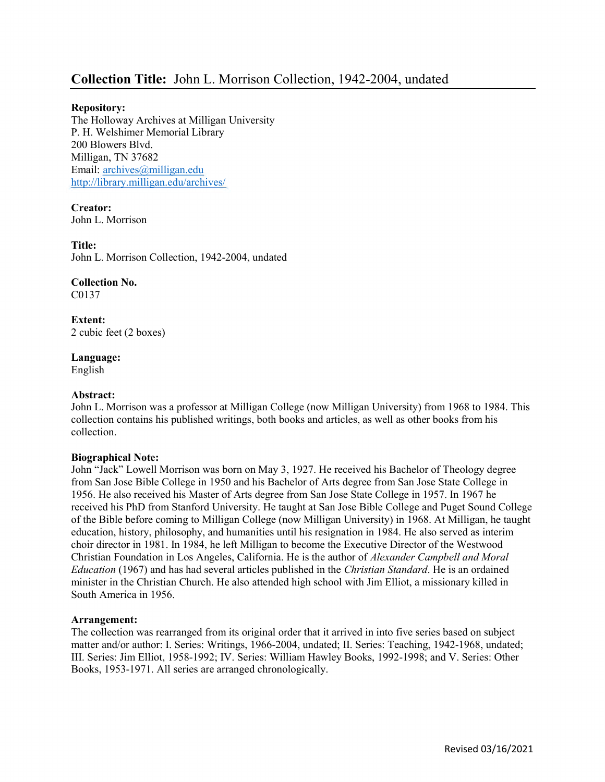# Collection Title: John L. Morrison Collection, 1942-2004, undated

#### Repository:

The Holloway Archives at Milligan University P. H. Welshimer Memorial Library 200 Blowers Blvd. Milligan, TN 37682 Email: archives@milligan.edu http://library.milligan.edu/archives/

Creator: John L. Morrison

Title:

John L. Morrison Collection, 1942-2004, undated

Collection No. C0137

Extent: 2 cubic feet (2 boxes)

## Language:

English

#### Abstract:

John L. Morrison was a professor at Milligan College (now Milligan University) from 1968 to 1984. This collection contains his published writings, both books and articles, as well as other books from his collection.

#### Biographical Note:

John "Jack" Lowell Morrison was born on May 3, 1927. He received his Bachelor of Theology degree from San Jose Bible College in 1950 and his Bachelor of Arts degree from San Jose State College in 1956. He also received his Master of Arts degree from San Jose State College in 1957. In 1967 he received his PhD from Stanford University. He taught at San Jose Bible College and Puget Sound College of the Bible before coming to Milligan College (now Milligan University) in 1968. At Milligan, he taught education, history, philosophy, and humanities until his resignation in 1984. He also served as interim choir director in 1981. In 1984, he left Milligan to become the Executive Director of the Westwood Christian Foundation in Los Angeles, California. He is the author of Alexander Campbell and Moral Education (1967) and has had several articles published in the Christian Standard. He is an ordained minister in the Christian Church. He also attended high school with Jim Elliot, a missionary killed in South America in 1956.

#### Arrangement:

The collection was rearranged from its original order that it arrived in into five series based on subject matter and/or author: I. Series: Writings, 1966-2004, undated; II. Series: Teaching, 1942-1968, undated; III. Series: Jim Elliot, 1958-1992; IV. Series: William Hawley Books, 1992-1998; and V. Series: Other Books, 1953-1971. All series are arranged chronologically.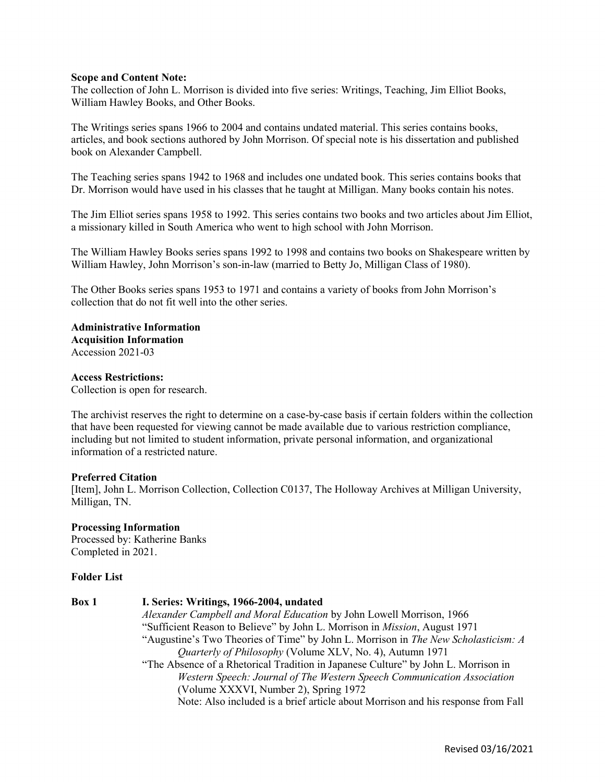#### Scope and Content Note:

The collection of John L. Morrison is divided into five series: Writings, Teaching, Jim Elliot Books, William Hawley Books, and Other Books.

The Writings series spans 1966 to 2004 and contains undated material. This series contains books, articles, and book sections authored by John Morrison. Of special note is his dissertation and published book on Alexander Campbell.

The Teaching series spans 1942 to 1968 and includes one undated book. This series contains books that Dr. Morrison would have used in his classes that he taught at Milligan. Many books contain his notes.

The Jim Elliot series spans 1958 to 1992. This series contains two books and two articles about Jim Elliot, a missionary killed in South America who went to high school with John Morrison.

The William Hawley Books series spans 1992 to 1998 and contains two books on Shakespeare written by William Hawley, John Morrison's son-in-law (married to Betty Jo, Milligan Class of 1980).

The Other Books series spans 1953 to 1971 and contains a variety of books from John Morrison's collection that do not fit well into the other series.

Administrative Information Acquisition Information Accession 2021-03

# Access Restrictions:

Collection is open for research.

The archivist reserves the right to determine on a case-by-case basis if certain folders within the collection that have been requested for viewing cannot be made available due to various restriction compliance, including but not limited to student information, private personal information, and organizational information of a restricted nature.

#### Preferred Citation

[Item], John L. Morrison Collection, Collection C0137, The Holloway Archives at Milligan University, Milligan, TN.

# Processing Information

Processed by: Katherine Banks Completed in 2021.

### Folder List

| Box 1 | I. Series: Writings, 1966-2004, undated                                            |
|-------|------------------------------------------------------------------------------------|
|       | Alexander Campbell and Moral Education by John Lowell Morrison, 1966               |
|       | "Sufficient Reason to Believe" by John L. Morrison in <i>Mission</i> , August 1971 |
|       | "Augustine's Two Theories of Time" by John L. Morrison in The New Scholasticism: A |
|       | <i>Quarterly of Philosophy</i> (Volume XLV, No. 4), Autumn 1971                    |
|       | "The Absence of a Rhetorical Tradition in Japanese Culture" by John L. Morrison in |
|       | Western Speech: Journal of The Western Speech Communication Association            |
|       | (Volume XXXVI, Number 2), Spring 1972                                              |
|       | Note: Also included is a brief article about Morrison and his response from Fall   |